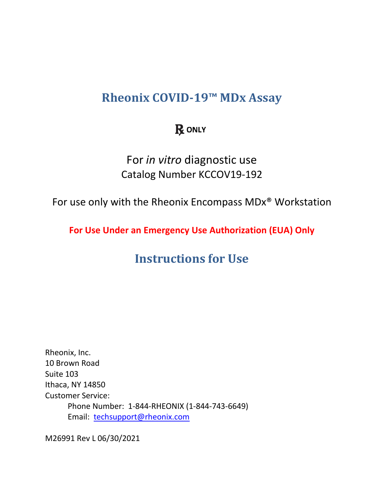# <span id="page-0-0"></span>**Rheonix COVID-19™ MDx Assay**

## **R** ONLY

For *in vitro* diagnostic use Catalog Number KCCOV19-192

<span id="page-0-1"></span>For use only with the Rheonix Encompass MDx® Workstation

<span id="page-0-2"></span>**For Use Under an Emergency Use Authorization (EUA) Only**

# **Instructions for Use**

Rheonix, Inc. 10 Brown Road Suite 103 Ithaca, NY 14850 Customer Service: Phone Number: 1-844-RHEONIX (1-844-743-6649) Email: [techsupport@rheonix.com](mailto:techsupport@rheonix.com)

M26991 Rev L 06/30/2021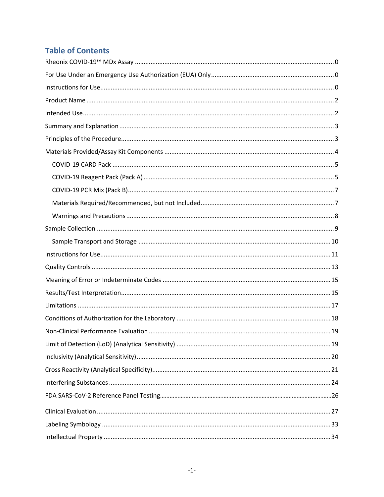## **Table of Contents**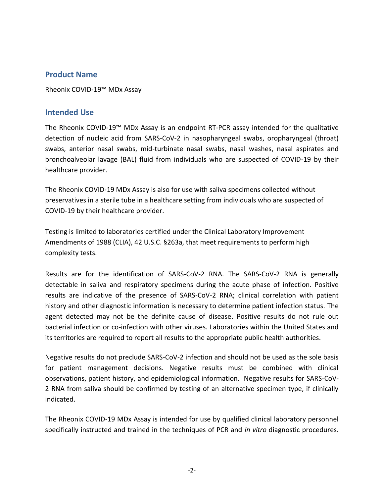### <span id="page-2-0"></span>**Product Name**

Rheonix COVID-19™ MDx Assay

#### <span id="page-2-1"></span>**Intended Use**

The Rheonix COVID-19™ MDx Assay is an endpoint RT-PCR assay intended for the qualitative detection of nucleic acid from SARS-CoV-2 in nasopharyngeal swabs, oropharyngeal (throat) swabs, anterior nasal swabs, mid-turbinate nasal swabs, nasal washes, nasal aspirates and bronchoalveolar lavage (BAL) fluid from individuals who are suspected of COVID-19 by their healthcare provider.

The Rheonix COVID-19 MDx Assay is also for use with saliva specimens collected without preservatives in a sterile tube in a healthcare setting from individuals who are suspected of COVID-19 by their healthcare provider.

Testing is limited to laboratories certified under the Clinical Laboratory Improvement Amendments of 1988 (CLIA), 42 U.S.C. §263a, that meet requirements to perform high complexity tests.

Results are for the identification of SARS-CoV-2 RNA. The SARS-CoV-2 RNA is generally detectable in saliva and respiratory specimens during the acute phase of infection. Positive results are indicative of the presence of SARS-CoV-2 RNA; clinical correlation with patient history and other diagnostic information is necessary to determine patient infection status. The agent detected may not be the definite cause of disease. Positive results do not rule out bacterial infection or co-infection with other viruses. Laboratories within the United States and its territories are required to report all results to the appropriate public health authorities.

Negative results do not preclude SARS-CoV-2 infection and should not be used as the sole basis for patient management decisions. Negative results must be combined with clinical observations, patient history, and epidemiological information. Negative results for SARS-CoV-2 RNA from saliva should be confirmed by testing of an alternative specimen type, if clinically indicated.

The Rheonix COVID-19 MDx Assay is intended for use by qualified clinical laboratory personnel specifically instructed and trained in the techniques of PCR and *in vitro* diagnostic procedures.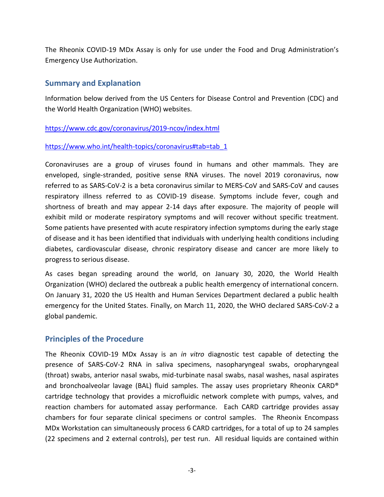The Rheonix COVID-19 MDx Assay is only for use under the Food and Drug Administration's Emergency Use Authorization.

#### <span id="page-3-0"></span>**Summary and Explanation**

Information below derived from the US Centers for Disease Control and Prevention (CDC) and the World Health Organization (WHO) websites.

#### <https://www.cdc.gov/coronavirus/2019-ncov/index.html>

#### [https://www.who.int/health-topics/coronavirus#tab=tab\\_1](https://www.who.int/health-topics/coronavirus#tab=tab_1)

Coronaviruses are a group of viruses found in humans and other mammals. They are enveloped, single-stranded, positive sense RNA viruses. The novel 2019 coronavirus, now referred to as SARS-CoV-2 is a beta coronavirus similar to MERS-CoV and SARS-CoV and causes respiratory illness referred to as COVID-19 disease. Symptoms include fever, cough and shortness of breath and may appear 2-14 days after exposure. The majority of people will exhibit mild or moderate respiratory symptoms and will recover without specific treatment. Some patients have presented with acute respiratory infection symptoms during the early stage of disease and it has been identified that individuals with underlying health conditions including diabetes, cardiovascular disease, chronic respiratory disease and cancer are more likely to progress to serious disease.

As cases began spreading around the world, on January 30, 2020, the World Health Organization (WHO) declared the outbreak a public health emergency of international concern. On January 31, 2020 the US Health and Human Services Department declared a public health emergency for the United States. Finally, on March 11, 2020, the WHO declared SARS-CoV-2 a global pandemic.

## <span id="page-3-1"></span>**Principles of the Procedure**

The Rheonix COVID-19 MDx Assay is an *in vitro* diagnostic test capable of detecting the presence of SARS-CoV-2 RNA in saliva specimens, nasopharyngeal swabs, oropharyngeal (throat) swabs, anterior nasal swabs, mid-turbinate nasal swabs, nasal washes, nasal aspirates and bronchoalveolar lavage (BAL) fluid samples. The assay uses proprietary Rheonix CARD® cartridge technology that provides a microfluidic network complete with pumps, valves, and reaction chambers for automated assay performance. Each CARD cartridge provides assay chambers for four separate clinical specimens or control samples. The Rheonix Encompass MDx Workstation can simultaneously process 6 CARD cartridges, for a total of up to 24 samples (22 specimens and 2 external controls), per test run. All residual liquids are contained within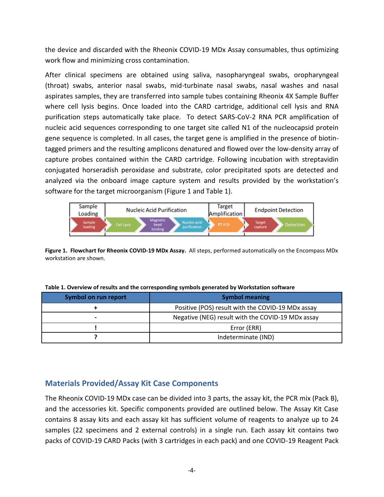the device and discarded with the Rheonix COVID-19 MDx Assay consumables, thus optimizing work flow and minimizing cross contamination.

After clinical specimens are obtained using saliva, nasopharyngeal swabs, oropharyngeal (throat) swabs, anterior nasal swabs, mid-turbinate nasal swabs, nasal washes and nasal aspirates samples, they are transferred into sample tubes containing Rheonix 4X Sample Buffer where cell lysis begins. Once loaded into the CARD cartridge, additional cell lysis and RNA purification steps automatically take place. To detect SARS-CoV-2 RNA PCR amplification of nucleic acid sequences corresponding to one target site called N1 of the nucleocapsid protein gene sequence is completed. In all cases, the target gene is amplified in the presence of biotintagged primers and the resulting amplicons denatured and flowed over the low-density array of capture probes contained within the CARD cartridge. Following incubation with streptavidin conjugated horseradish peroxidase and substrate, color precipitated spots are detected and analyzed via the onboard image capture system and results provided by the workstation's software for the target microorganism (Figure 1 and Table 1).



**Figure 1. Flowchart for Rheonix COVID-19 MDx Assay.** All steps, performed automatically on the Encompass MDx workstation are shown.

| Symbol on run report | <b>Symbol meaning</b>                             |  |  |
|----------------------|---------------------------------------------------|--|--|
|                      | Positive (POS) result with the COVID-19 MDx assay |  |  |
|                      | Negative (NEG) result with the COVID-19 MDx assay |  |  |
|                      | Error (ERR)                                       |  |  |
|                      | Indeterminate (IND)                               |  |  |

**Table 1. Overview of results and the corresponding symbols generated by Workstation software** 

#### <span id="page-4-0"></span>**Materials Provided/Assay Kit Case Components**

The Rheonix COVID-19 MDx case can be divided into 3 parts, the assay kit, the PCR mix (Pack B), and the accessories kit. Specific components provided are outlined below. The Assay Kit Case contains 8 assay kits and each assay kit has sufficient volume of reagents to analyze up to 24 samples (22 specimens and 2 external controls) in a single run. Each assay kit contains two packs of COVID-19 CARD Packs (with 3 cartridges in each pack) and one COVID-19 Reagent Pack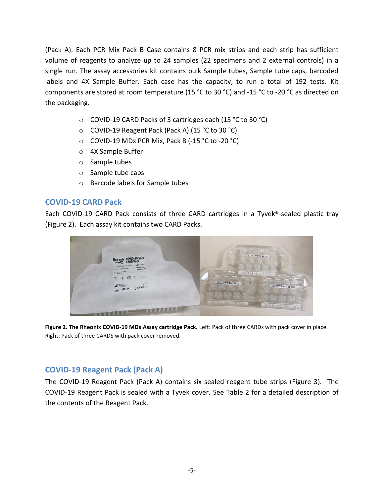(Pack A). Each PCR Mix Pack B Case contains 8 PCR mix strips and each strip has sufficient volume of reagents to analyze up to 24 samples (22 specimens and 2 external controls) in a single run. The assay accessories kit contains bulk Sample tubes, Sample tube caps, barcoded labels and 4X Sample Buffer. Each case has the capacity, to run a total of 192 tests. Kit components are stored at room temperature (15 °C to 30 °C) and -15 °C to -20 °C as directed on the packaging.

- o COVID-19 CARD Packs of 3 cartridges each (15 °C to 30 °C)
- o COVID-19 Reagent Pack (Pack A) (15 °C to 30 °C)
- o COVID-19 MDx PCR Mix, Pack B (-15 °C to -20 °C)
- o 4X Sample Buffer
- o Sample tubes
- o Sample tube caps
- o Barcode labels for Sample tubes

#### <span id="page-5-0"></span>**COVID-19 CARD Pack**

Each COVID-19 CARD Pack consists of three CARD cartridges in a Tyvek®-sealed plastic tray (Figure 2). Each assay kit contains two CARD Packs.



**Figure 2. The Rheonix COVID-19 MDx Assay cartridge Pack.** Left: Pack of three CARDs with pack cover in place. Right: Pack of three CARDS with pack cover removed.

## <span id="page-5-1"></span>**COVID-19 Reagent Pack (Pack A)**

The COVID-19 Reagent Pack (Pack A) contains six sealed reagent tube strips (Figure 3). The COVID-19 Reagent Pack is sealed with a Tyvek cover. See Table 2 for a detailed description of the contents of the Reagent Pack.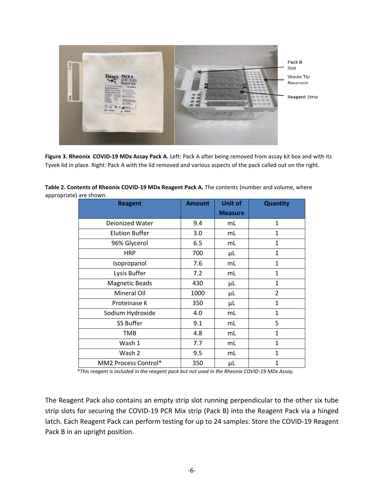

**Figure 3. Rheonix COVID-19 MDx Assay Pack A.** Left: Pack A after being removed from assay kit box and with its Tyvek lid in place. Right: Pack A with the lid removed and various aspects of the pack called out on the right.

| <b>Reagent</b>        | <b>Amount</b> | <b>Unit of</b><br><b>Measure</b> | Quantity       |
|-----------------------|---------------|----------------------------------|----------------|
| Deionized Water       | 9.4           | mL                               | $\mathbf{1}$   |
| <b>Elution Buffer</b> | 3.0           | mL                               | 1              |
| 96% Glycerol          | 6.5           | mL                               | $\mathbf{1}$   |
| <b>HRP</b>            | 700           | μL                               | $\mathbf{1}$   |
| Isopropanol           | 7.6           | mL                               | $\mathbf{1}$   |
| Lysis Buffer          | 7.2           | mL                               | $\mathbf{1}$   |
| <b>Magnetic Beads</b> | 430           | μL                               | $\mathbf{1}$   |
| Mineral Oil           | 1000          | μL                               | $\overline{2}$ |
| Proteinase K          | 350           | μL                               | $\mathbf{1}$   |
| Sodium Hydroxide      | 4.0           | mL                               | $\mathbf{1}$   |
| <b>SS Buffer</b>      | 9.1           | mL                               | 5              |
| <b>TMB</b>            | 4.8           | mL                               | $\mathbf{1}$   |
| Wash 1                | 7.7           | mL                               | $\mathbf{1}$   |
| Wash 2                | 9.5           | mL                               | $\mathbf{1}$   |
| MM2 Process Control*  | 350           | μL                               | $\mathbf{1}$   |

| Table 2. Contents of Rheonix COVID-19 MDx Reagent Pack A. The contents (number and volume, where |  |
|--------------------------------------------------------------------------------------------------|--|
| appropriate) are shown.                                                                          |  |

 *\*This reagent is included in the reagent pack but not used in the Rheonix COVID-19 MDx Assay.* 

The Reagent Pack also contains an empty strip slot running perpendicular to the other six tube strip slots for securing the COVID-19 PCR Mix strip (Pack B) into the Reagent Pack via a hinged latch. Each Reagent Pack can perform testing for up to 24 samples. Store the COVID-19 Reagent Pack B in an upright position.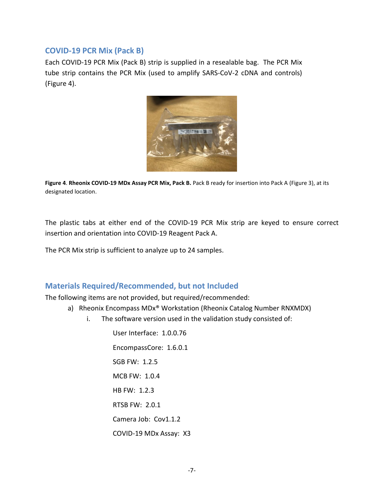#### <span id="page-7-0"></span>**COVID-19 PCR Mix (Pack B)**

Each COVID-19 PCR Mix (Pack B) strip is supplied in a resealable bag. The PCR Mix tube strip contains the PCR Mix (used to amplify SARS-CoV-2 cDNA and controls) (Figure 4).



Figure 4. Rheonix COVID-19 MDx Assay PCR Mix, Pack B. Pack B ready for insertion into Pack A (Figure 3), at its designated location.

The plastic tabs at either end of the COVID-19 PCR Mix strip are keyed to ensure correct insertion and orientation into COVID-19 Reagent Pack A.

The PCR Mix strip is sufficient to analyze up to 24 samples.

## <span id="page-7-1"></span>**Materials Required/Recommended, but not Included**

The following items are not provided, but required/recommended:

- a) Rheonix Encompass MDx® Workstation (Rheonix Catalog Number RNXMDX)
	- i. The software version used in the validation study consisted of:

User Interface: 1.0.0.76 EncompassCore: 1.6.0.1 SGB FW: 1.2.5 MCB FW: 1.0.4 HB FW: 1.2.3 RTSB FW: 2.0.1 Camera Job: Cov1.1.2 COVID-19 MDx Assay: X3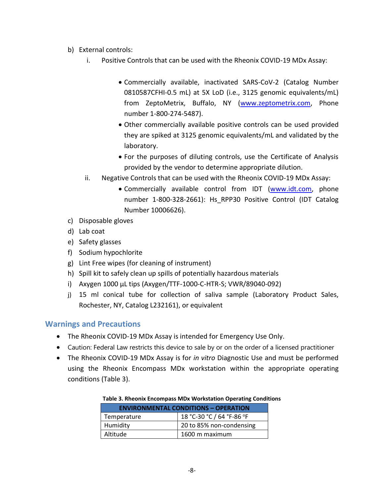- b) External controls:
	- i. Positive Controls that can be used with the Rheonix COVID-19 MDx Assay:
		- Commercially available, inactivated SARS-CoV-2 (Catalog Number 0810587CFHI-0.5 mL) at 5X LoD (i.e., 3125 genomic equivalents/mL) from ZeptoMetrix, Buffalo, NY [\(www.zeptometrix.com,](http://www.zeptometrix.com/) Phone number 1-800-274-5487).
		- Other commercially available positive controls can be used provided they are spiked at 3125 genomic equivalents/mL and validated by the laboratory.
		- For the purposes of diluting controls, use the Certificate of Analysis provided by the vendor to determine appropriate dilution.
	- ii. Negative Controls that can be used with the Rheonix COVID-19 MDx Assay:
		- Commercially available control from IDT [\(www.idt.com,](http://www.idt.com/) phone number 1-800-328-2661): Hs RPP30 Positive Control (IDT Catalog Number 10006626).
- c) Disposable gloves
- d) Lab coat
- e) Safety glasses
- f) Sodium hypochlorite
- g) Lint Free wipes (for cleaning of instrument)
- h) Spill kit to safely clean up spills of potentially hazardous materials
- i) Axygen 1000 µL tips (Axygen/TTF-1000-C-HTR-S; VWR/89040-092)
- j) 15 ml conical tube for collection of saliva sample (Laboratory Product Sales, Rochester, NY, Catalog L232161), or equivalent

## <span id="page-8-0"></span>**Warnings and Precautions**

- The Rheonix COVID-19 MDx Assay is intended for Emergency Use Only.
- Caution: Federal Law restricts this device to sale by or on the order of a licensed practitioner
- The Rheonix COVID-19 MDx Assay is for *in vitro* Diagnostic Use and must be performed using the Rheonix Encompass MDx workstation within the appropriate operating conditions (Table 3).

#### **Table 3. Rheonix Encompass MDx Workstation Operating Conditions**

| <b>ENVIRONMENTAL CONDITIONS - OPERATION</b> |                           |  |  |
|---------------------------------------------|---------------------------|--|--|
| Temperature                                 | 18 °C-30 °C / 64 °F-86 °F |  |  |
| Humidity                                    | 20 to 85% non-condensing  |  |  |
| Altitude                                    | 1600 m maximum            |  |  |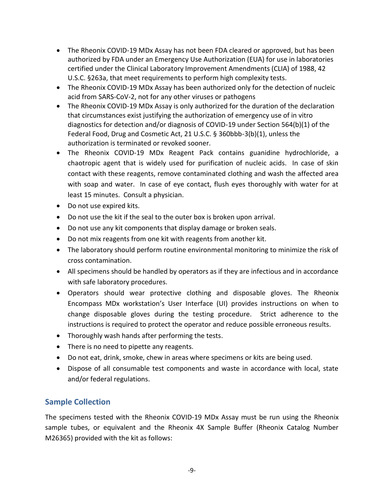- The Rheonix COVID-19 MDx Assay has not been FDA cleared or approved, but has been authorized by FDA under an Emergency Use Authorization (EUA) for use in laboratories certified under the Clinical Laboratory Improvement Amendments (CLIA) of 1988, 42 U.S.C. §263a, that meet requirements to perform high complexity tests.
- The Rheonix COVID-19 MDx Assay has been authorized only for the detection of nucleic acid from SARS-CoV-2, not for any other viruses or pathogens
- The Rheonix COVID-19 MDx Assay is only authorized for the duration of the declaration that circumstances exist justifying the authorization of emergency use of in vitro diagnostics for detection and/or diagnosis of COVID-19 under Section 564(b)(1) of the Federal Food, Drug and Cosmetic Act, 21 U.S.C. § 360bbb-3(b)(1), unless the authorization is terminated or revoked sooner.
- The Rheonix COVID-19 MDx Reagent Pack contains guanidine hydrochloride, a chaotropic agent that is widely used for purification of nucleic acids. In case of skin contact with these reagents, remove contaminated clothing and wash the affected area with soap and water. In case of eye contact, flush eyes thoroughly with water for at least 15 minutes. Consult a physician.
- Do not use expired kits.
- Do not use the kit if the seal to the outer box is broken upon arrival.
- Do not use any kit components that display damage or broken seals.
- Do not mix reagents from one kit with reagents from another kit.
- The laboratory should perform routine environmental monitoring to minimize the risk of cross contamination.
- All specimens should be handled by operators as if they are infectious and in accordance with safe laboratory procedures.
- Operators should wear protective clothing and disposable gloves. The Rheonix Encompass MDx workstation's User Interface (UI) provides instructions on when to change disposable gloves during the testing procedure. Strict adherence to the instructions is required to protect the operator and reduce possible erroneous results.
- Thoroughly wash hands after performing the tests.
- There is no need to pipette any reagents.
- Do not eat, drink, smoke, chew in areas where specimens or kits are being used.
- Dispose of all consumable test components and waste in accordance with local, state and/or federal regulations.

## <span id="page-9-0"></span>**Sample Collection**

The specimens tested with the Rheonix COVID-19 MDx Assay must be run using the Rheonix sample tubes, or equivalent and the Rheonix 4X Sample Buffer (Rheonix Catalog Number M26365) provided with the kit as follows: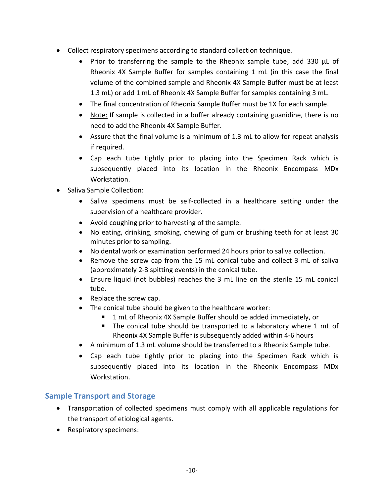- Collect respiratory specimens according to standard collection technique.
	- Prior to transferring the sample to the Rheonix sample tube, add 330  $\mu$ L of Rheonix 4X Sample Buffer for samples containing 1 mL (in this case the final volume of the combined sample and Rheonix 4X Sample Buffer must be at least 1.3 mL) or add 1 mL of Rheonix 4X Sample Buffer for samples containing 3 mL.
	- The final concentration of Rheonix Sample Buffer must be 1X for each sample.
	- Note: If sample is collected in a buffer already containing guanidine, there is no need to add the Rheonix 4X Sample Buffer.
	- Assure that the final volume is a minimum of 1.3 mL to allow for repeat analysis if required.
	- Cap each tube tightly prior to placing into the Specimen Rack which is subsequently placed into its location in the Rheonix Encompass MDx Workstation.
- Saliva Sample Collection:
	- Saliva specimens must be self-collected in a healthcare setting under the supervision of a healthcare provider.
	- Avoid coughing prior to harvesting of the sample.
	- No eating, drinking, smoking, chewing of gum or brushing teeth for at least 30 minutes prior to sampling.
	- No dental work or examination performed 24 hours prior to saliva collection.
	- Remove the screw cap from the 15 mL conical tube and collect 3 mL of saliva (approximately 2-3 spitting events) in the conical tube.
	- Ensure liquid (not bubbles) reaches the 3 mL line on the sterile 15 mL conical tube.
	- Replace the screw cap.
	- The conical tube should be given to the healthcare worker:
		- 1 mL of Rheonix 4X Sample Buffer should be added immediately, or
		- The conical tube should be transported to a laboratory where 1 mL of Rheonix 4X Sample Buffer is subsequently added within 4-6 hours
	- A minimum of 1.3 mL volume should be transferred to a Rheonix Sample tube.
	- Cap each tube tightly prior to placing into the Specimen Rack which is subsequently placed into its location in the Rheonix Encompass MDx Workstation.

## <span id="page-10-0"></span>**Sample Transport and Storage**

- Transportation of collected specimens must comply with all applicable regulations for the transport of etiological agents.
- Respiratory specimens: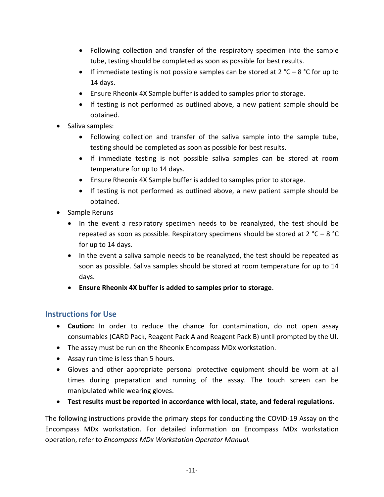- Following collection and transfer of the respiratory specimen into the sample tube, testing should be completed as soon as possible for best results.
- If immediate testing is not possible samples can be stored at 2 °C 8 °C for up to 14 days.
- Ensure Rheonix 4X Sample buffer is added to samples prior to storage.
- If testing is not performed as outlined above, a new patient sample should be obtained.
- Saliva samples:
	- Following collection and transfer of the saliva sample into the sample tube, testing should be completed as soon as possible for best results.
	- If immediate testing is not possible saliva samples can be stored at room temperature for up to 14 days.
	- Ensure Rheonix 4X Sample buffer is added to samples prior to storage.
	- If testing is not performed as outlined above, a new patient sample should be obtained.
- Sample Reruns
	- In the event a respiratory specimen needs to be reanalyzed, the test should be repeated as soon as possible. Respiratory specimens should be stored at 2 °C – 8 °C for up to 14 days.
	- In the event a saliva sample needs to be reanalyzed, the test should be repeated as soon as possible. Saliva samples should be stored at room temperature for up to 14 days.
	- **Ensure Rheonix 4X buffer is added to samples prior to storage**.

## <span id="page-11-0"></span>**Instructions for Use**

- **Caution:** In order to reduce the chance for contamination, do not open assay consumables (CARD Pack, Reagent Pack A and Reagent Pack B) until prompted by the UI.
- The assay must be run on the Rheonix Encompass MDx workstation.
- Assay run time is less than 5 hours.
- Gloves and other appropriate personal protective equipment should be worn at all times during preparation and running of the assay. The touch screen can be manipulated while wearing gloves.
- **Test results must be reported in accordance with local, state, and federal regulations.**

The following instructions provide the primary steps for conducting the COVID-19 Assay on the Encompass MDx workstation. For detailed information on Encompass MDx workstation operation, refer to *Encompass MDx Workstation Operator Manual.*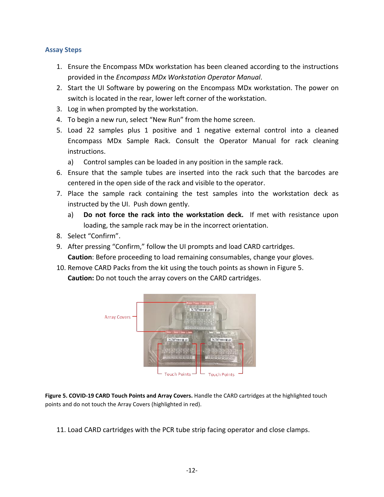#### **Assay Steps**

- 1. Ensure the Encompass MDx workstation has been cleaned according to the instructions provided in the *Encompass MDx Workstation Operator Manual*.
- 2. Start the UI Software by powering on the Encompass MDx workstation. The power on switch is located in the rear, lower left corner of the workstation.
- 3. Log in when prompted by the workstation.
- 4. To begin a new run, select "New Run" from the home screen.
- 5. Load 22 samples plus 1 positive and 1 negative external control into a cleaned Encompass MDx Sample Rack. Consult the Operator Manual for rack cleaning instructions.
	- a) Control samples can be loaded in any position in the sample rack.
- 6. Ensure that the sample tubes are inserted into the rack such that the barcodes are centered in the open side of the rack and visible to the operator.
- 7. Place the sample rack containing the test samples into the workstation deck as instructed by the UI. Push down gently.
	- a) **Do not force the rack into the workstation deck.** If met with resistance upon loading, the sample rack may be in the incorrect orientation.
- 8. Select "Confirm".
- 9. After pressing "Confirm," follow the UI prompts and load CARD cartridges. **Caution**: Before proceeding to load remaining consumables, change your gloves.
- 10. Remove CARD Packs from the kit using the touch points as shown in Figure 5. **Caution:** Do not touch the array covers on the CARD cartridges.



**Figure 5. COVID-19 CARD Touch Points and Array Covers.** Handle the CARD cartridges at the highlighted touch points and do not touch the Array Covers (highlighted in red).

11. Load CARD cartridges with the PCR tube strip facing operator and close clamps.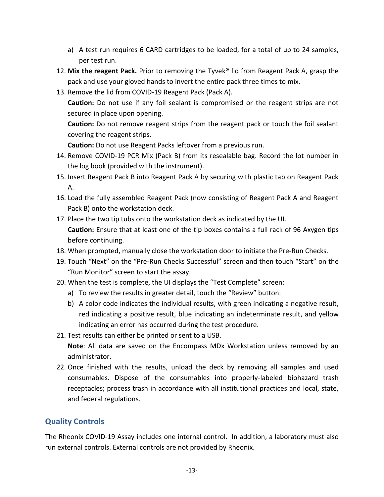- a) A test run requires 6 CARD cartridges to be loaded, for a total of up to 24 samples, per test run.
- 12. **Mix the reagent Pack.** Prior to removing the Tyvek® lid from Reagent Pack A, grasp the pack and use your gloved hands to invert the entire pack three times to mix.
- 13. Remove the lid from COVID-19 Reagent Pack (Pack A).

**Caution:** Do not use if any foil sealant is compromised or the reagent strips are not secured in place upon opening.

**Caution:** Do not remove reagent strips from the reagent pack or touch the foil sealant covering the reagent strips.

**Caution:** Do not use Reagent Packs leftover from a previous run.

- 14. Remove COVID-19 PCR Mix (Pack B) from its resealable bag. Record the lot number in the log book (provided with the instrument).
- 15. Insert Reagent Pack B into Reagent Pack A by securing with plastic tab on Reagent Pack A.
- 16. Load the fully assembled Reagent Pack (now consisting of Reagent Pack A and Reagent Pack B) onto the workstation deck.
- 17. Place the two tip tubs onto the workstation deck as indicated by the UI. **Caution:** Ensure that at least one of the tip boxes contains a full rack of 96 Axygen tips before continuing.
- 18. When prompted, manually close the workstation door to initiate the Pre-Run Checks.
- 19. Touch "Next" on the "Pre-Run Checks Successful" screen and then touch "Start" on the "Run Monitor" screen to start the assay.
- 20. When the test is complete, the UI displays the "Test Complete" screen:
	- a) To review the results in greater detail, touch the "Review" button.
	- b) A color code indicates the individual results, with green indicating a negative result, red indicating a positive result, blue indicating an indeterminate result, and yellow indicating an error has occurred during the test procedure.
- 21. Test results can either be printed or sent to a USB. **Note**: All data are saved on the Encompass MDx Workstation unless removed by an administrator.
- 22. Once finished with the results, unload the deck by removing all samples and used consumables. Dispose of the consumables into properly-labeled biohazard trash receptacles; process trash in accordance with all institutional practices and local, state, and federal regulations.

## <span id="page-13-0"></span>**Quality Controls**

The Rheonix COVID-19 Assay includes one internal control. In addition, a laboratory must also run external controls. External controls are not provided by Rheonix.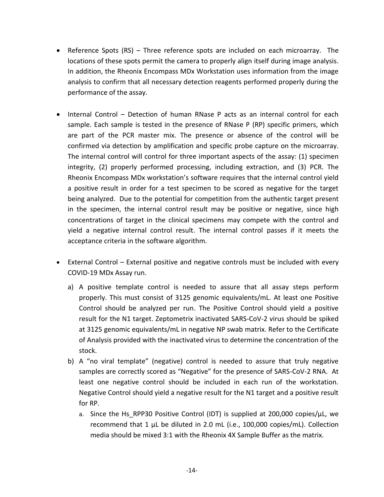- Reference Spots (RS) Three reference spots are included on each microarray. The locations of these spots permit the camera to properly align itself during image analysis. In addition, the Rheonix Encompass MDx Workstation uses information from the image analysis to confirm that all necessary detection reagents performed properly during the performance of the assay.
- Internal Control Detection of human RNase P acts as an internal control for each sample. Each sample is tested in the presence of RNase P (RP) specific primers, which are part of the PCR master mix. The presence or absence of the control will be confirmed via detection by amplification and specific probe capture on the microarray. The internal control will control for three important aspects of the assay: (1) specimen integrity, (2) properly performed processing, including extraction, and (3) PCR. The Rheonix Encompass MDx workstation's software requires that the internal control yield a positive result in order for a test specimen to be scored as negative for the target being analyzed. Due to the potential for competition from the authentic target present in the specimen, the internal control result may be positive or negative, since high concentrations of target in the clinical specimens may compete with the control and yield a negative internal control result. The internal control passes if it meets the acceptance criteria in the software algorithm.
- External Control External positive and negative controls must be included with every COVID-19 MDx Assay run.
	- a) A positive template control is needed to assure that all assay steps perform properly. This must consist of 3125 genomic equivalents/mL. At least one Positive Control should be analyzed per run. The Positive Control should yield a positive result for the N1 target. Zeptometrix inactivated SARS-CoV-2 virus should be spiked at 3125 genomic equivalents/mL in negative NP swab matrix. Refer to the Certificate of Analysis provided with the inactivated virus to determine the concentration of the stock.
	- b) A "no viral template" (negative) control is needed to assure that truly negative samples are correctly scored as "Negative" for the presence of SARS-CoV-2 RNA. At least one negative control should be included in each run of the workstation. Negative Control should yield a negative result for the N1 target and a positive result for RP.
		- a. Since the Hs RPP30 Positive Control (IDT) is supplied at 200,000 copies/ $\mu$ L, we recommend that 1 µL be diluted in 2.0 mL (i.e., 100,000 copies/mL). Collection media should be mixed 3:1 with the Rheonix 4X Sample Buffer as the matrix.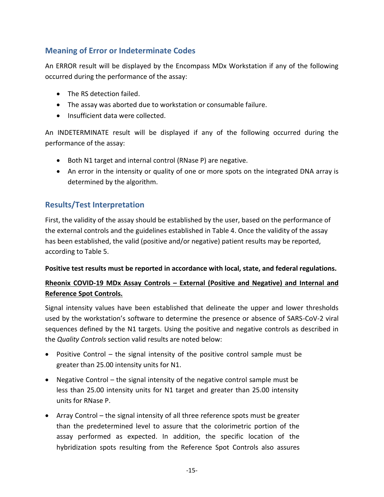## <span id="page-15-0"></span>**Meaning of Error or Indeterminate Codes**

An ERROR result will be displayed by the Encompass MDx Workstation if any of the following occurred during the performance of the assay:

- The RS detection failed.
- The assay was aborted due to workstation or consumable failure.
- Insufficient data were collected.

An INDETERMINATE result will be displayed if any of the following occurred during the performance of the assay:

- Both N1 target and internal control (RNase P) are negative.
- An error in the intensity or quality of one or more spots on the integrated DNA array is determined by the algorithm.

## <span id="page-15-1"></span>**Results/Test Interpretation**

First, the validity of the assay should be established by the user, based on the performance of the external controls and the guidelines established in Table 4. Once the validity of the assay has been established, the valid (positive and/or negative) patient results may be reported, according to Table 5.

#### **Positive test results must be reported in accordance with local, state, and federal regulations.**

## **Rheonix COVID-19 MDx Assay Controls – External (Positive and Negative) and Internal and Reference Spot Controls.**

Signal intensity values have been established that delineate the upper and lower thresholds used by the workstation's software to determine the presence or absence of SARS-CoV-2 viral sequences defined by the N1 targets. Using the positive and negative controls as described in the *Quality Controls* section valid results are noted below:

- Positive Control the signal intensity of the positive control sample must be greater than 25.00 intensity units for N1.
- Negative Control the signal intensity of the negative control sample must be less than 25.00 intensity units for N1 target and greater than 25.00 intensity units for RNase P.
- Array Control the signal intensity of all three reference spots must be greater than the predetermined level to assure that the colorimetric portion of the assay performed as expected. In addition, the specific location of the hybridization spots resulting from the Reference Spot Controls also assures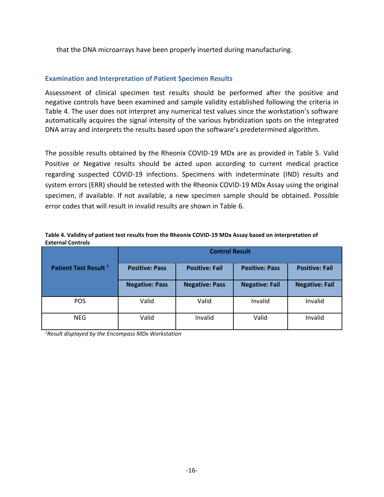that the DNA microarrays have been properly inserted during manufacturing.

#### **Examination and Interpretation of Patient Specimen Results**

Assessment of clinical specimen test results should be performed after the positive and negative controls have been examined and sample validity established following the criteria in Table 4. The user does not interpret any numerical test values since the workstation's software automatically acquires the signal intensity of the various hybridization spots on the integrated DNA array and interprets the results based upon the software's predetermined algorithm.

The possible results obtained by the Rheonix COVID-19 MDx are as provided in Table 5. Valid Positive or Negative results should be acted upon according to current medical practice regarding suspected COVID-19 infections. Specimens with indeterminate (IND) results and system errors (ERR) should be retested with the Rheonix COVID-19 MDx Assay using the original specimen, if available. If not available, a new specimen sample should be obtained. Possible error codes that will result in invalid results are shown in Table 6.

| Table 4. Validity of patient test results from the Rheonix COVID-19 MDx Assay based on interpretation of |  |
|----------------------------------------------------------------------------------------------------------|--|
| <b>External Controls</b>                                                                                 |  |
|                                                                                                          |  |

|                                  | <b>Control Result</b> |                       |                       |                       |
|----------------------------------|-----------------------|-----------------------|-----------------------|-----------------------|
| Patient Test Result <sup>1</sup> | <b>Positive: Pass</b> | <b>Positive: Fail</b> | <b>Positive: Pass</b> | <b>Positive: Fail</b> |
|                                  | <b>Negative: Pass</b> | <b>Negative: Pass</b> | <b>Negative: Fail</b> | <b>Negative: Fail</b> |
| <b>POS</b>                       | Valid                 | Valid                 | Invalid               | Invalid               |
| <b>NEG</b>                       | Valid                 | Invalid               | Valid                 | Invalid               |

*1Result displayed by the Encompass MDx Workstation*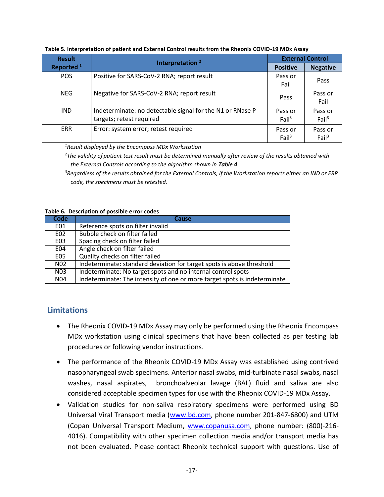| <b>Result</b>         | Interpretation <sup>2</sup>                                                           | <b>External Control</b>      |                              |
|-----------------------|---------------------------------------------------------------------------------------|------------------------------|------------------------------|
| Reported <sup>1</sup> |                                                                                       | <b>Positive</b>              | <b>Negative</b>              |
| <b>POS</b>            | Positive for SARS-CoV-2 RNA; report result                                            | Pass or<br>Fail              | Pass                         |
| NEG.                  | Negative for SARS-CoV-2 RNA; report result                                            | Pass                         | Pass or<br>Fail              |
| IND.                  | Indeterminate: no detectable signal for the N1 or RNase P<br>targets; retest required | Pass or<br>Fail <sup>3</sup> | Pass or<br>Fail <sup>3</sup> |
| <b>ERR</b>            | Error: system error; retest required                                                  | Pass or<br>Fail <sup>3</sup> | Pass or<br>Fail <sup>3</sup> |

**Table 5. Interpretation of patient and External Control results from the Rheonix COVID-19 MDx Assay**

*<sup>1</sup>Result displayed by the Encompass MDx Workstation*

*<sup>2</sup>The validity of patient test result must be determined manually after review of the results obtained with the External Controls according to the algorithm shown in Table 4.*

*<sup>3</sup>Regardless of the results obtained for the External Controls, if the Workstation reports either an IND or ERR code, the specimens must be retested.* 

#### **Table 6. Description of possible error codes**

| Code             | <b>Cause</b>                                                              |
|------------------|---------------------------------------------------------------------------|
| E01              | Reference spots on filter invalid                                         |
| E02              | Bubble check on filter failed                                             |
| EO <sub>3</sub>  | Spacing check on filter failed                                            |
| E04              | Angle check on filter failed                                              |
| E05              | Quality checks on filter failed                                           |
| N <sub>0</sub> 2 | Indeterminate: standard deviation for target spots is above threshold     |
| N03              | Indeterminate: No target spots and no internal control spots              |
| N04              | Indeterminate: The intensity of one or more target spots is indeterminate |

## <span id="page-17-0"></span>**Limitations**

- The Rheonix COVID-19 MDx Assay may only be performed using the Rheonix Encompass MDx workstation using clinical specimens that have been collected as per testing lab procedures or following vendor instructions.
- The performance of the Rheonix COVID-19 MDx Assay was established using contrived nasopharyngeal swab specimens. Anterior nasal swabs, mid-turbinate nasal swabs, nasal washes, nasal aspirates, bronchoalveolar lavage (BAL) fluid and saliva are also considered acceptable specimen types for use with the Rheonix COVID-19 MDx Assay.
- Validation studies for non-saliva respiratory specimens were performed using BD Universal Viral Transport media [\(www.bd.com,](http://www.bd.com/) phone number 201-847-6800) and UTM (Copan Universal Transport Medium, [www.copanusa.com,](http://www.copanusa.com/) phone number: (800)-216-4016). Compatibility with other specimen collection media and/or transport media has not been evaluated. Please contact Rheonix technical support with questions. Use of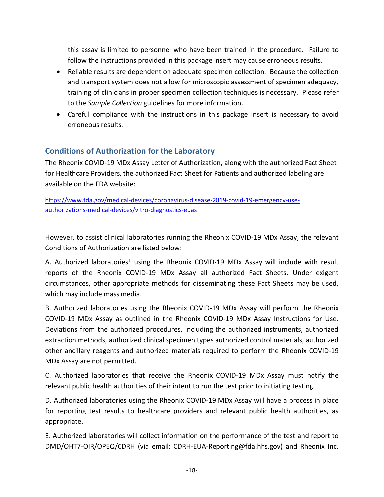this assay is limited to personnel who have been trained in the procedure. Failure to follow the instructions provided in this package insert may cause erroneous results.

- Reliable results are dependent on adequate specimen collection. Because the collection and transport system does not allow for microscopic assessment of specimen adequacy, training of clinicians in proper specimen collection techniques is necessary. Please refer to the *Sample Collection* guidelines for more information.
- Careful compliance with the instructions in this package insert is necessary to avoid erroneous results.

## <span id="page-18-0"></span>**Conditions of Authorization for the Laboratory**

The Rheonix COVID-19 MDx Assay Letter of Authorization, along with the authorized Fact Sheet for Healthcare Providers, the authorized Fact Sheet for Patients and authorized labeling are available on the FDA website:

[https://www.fda.gov/medical-devices/coronavirus-disease-2019-covid-19-emergency-use](https://www.fda.gov/medical-devices/coronavirus-disease-2019-covid-19-emergency-use-authorizations-medical-devices/vitro-diagnostics-euas)[authorizations-medical-devices/vitro-diagnostics-euas](https://www.fda.gov/medical-devices/coronavirus-disease-2019-covid-19-emergency-use-authorizations-medical-devices/vitro-diagnostics-euas)

However, to assist clinical laboratories running the Rheonix COVID-19 MDx Assay, the relevant Conditions of Authorization are listed below:

A. Authorized laboratories<sup>1</sup> using the Rheonix COVID-19 MDx Assay will include with result reports of the Rheonix COVID-19 MDx Assay all authorized Fact Sheets. Under exigent circumstances, other appropriate methods for disseminating these Fact Sheets may be used, which may include mass media.

B. Authorized laboratories using the Rheonix COVID-19 MDx Assay will perform the Rheonix COVID-19 MDx Assay as outlined in the Rheonix COVID-19 MDx Assay Instructions for Use. Deviations from the authorized procedures, including the authorized instruments, authorized extraction methods, authorized clinical specimen types authorized control materials, authorized other ancillary reagents and authorized materials required to perform the Rheonix COVID-19 MDx Assay are not permitted.

C. Authorized laboratories that receive the Rheonix COVID-19 MDx Assay must notify the relevant public health authorities of their intent to run the test prior to initiating testing.

D. Authorized laboratories using the Rheonix COVID-19 MDx Assay will have a process in place for reporting test results to healthcare providers and relevant public health authorities, as appropriate.

E. Authorized laboratories will collect information on the performance of the test and report to DMD/OHT7-OIR/OPEQ/CDRH (via email: CDRH-EUA-Reporting@fda.hhs.gov) and Rheonix Inc.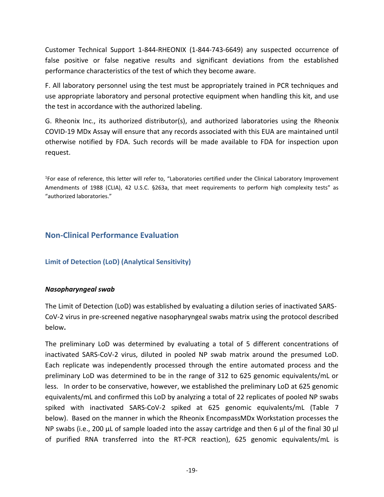Customer Technical Support 1-844-RHEONIX (1-844-743-6649) any suspected occurrence of false positive or false negative results and significant deviations from the established performance characteristics of the test of which they become aware.

F. All laboratory personnel using the test must be appropriately trained in PCR techniques and use appropriate laboratory and personal protective equipment when handling this kit, and use the test in accordance with the authorized labeling.

G. Rheonix Inc., its authorized distributor(s), and authorized laboratories using the Rheonix COVID-19 MDx Assay will ensure that any records associated with this EUA are maintained until otherwise notified by FDA. Such records will be made available to FDA for inspection upon request.

<span id="page-19-0"></span>1 For ease of reference, this letter will refer to, "Laboratories certified under the Clinical Laboratory Improvement Amendments of 1988 (CLIA), 42 U.S.C. §263a, that meet requirements to perform high complexity tests" as "authorized laboratories."

## <span id="page-19-1"></span>**Non-Clinical Performance Evaluation**

#### **Limit of Detection (LoD) (Analytical Sensitivity)**

#### *Nasopharyngeal swab*

The Limit of Detection (LoD) was established by evaluating a dilution series of inactivated SARS-CoV-2 virus in pre-screened negative nasopharyngeal swabs matrix using the protocol described below**.**

The preliminary LoD was determined by evaluating a total of 5 different concentrations of inactivated SARS-CoV-2 virus, diluted in pooled NP swab matrix around the presumed LoD. Each replicate was independently processed through the entire automated process and the preliminary LoD was determined to be in the range of 312 to 625 genomic equivalents/mL or less. In order to be conservative, however, we established the preliminary LoD at 625 genomic equivalents/mL and confirmed this LoD by analyzing a total of 22 replicates of pooled NP swabs spiked with inactivated SARS-CoV-2 spiked at 625 genomic equivalents/mL (Table 7 below). Based on the manner in which the Rheonix EncompassMDx Workstation processes the NP swabs (i.e., 200 μL of sample loaded into the assay cartridge and then 6 μl of the final 30 μl of purified RNA transferred into the RT-PCR reaction), 625 genomic equivalents/mL is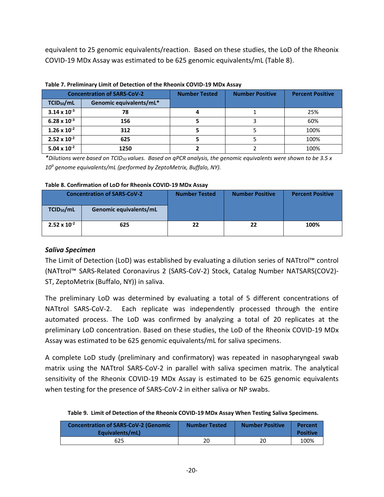equivalent to 25 genomic equivalents/reaction. Based on these studies, the LoD of the Rheonix COVID-19 MDx Assay was estimated to be 625 genomic equivalents/mL (Table 8).

| <b>Concentration of SARS-CoV-2</b> |                         | <b>Number Tested</b> | <b>Number Positive</b> | <b>Percent Positive</b> |
|------------------------------------|-------------------------|----------------------|------------------------|-------------------------|
| TCID <sub>50</sub> /mL             | Genomic equivalents/mL* |                      |                        |                         |
| $3.14 \times 10^{-3}$              | 78                      |                      |                        | 25%                     |
| $6.28 \times 10^{-3}$              | 156                     |                      |                        | 60%                     |
| $1.26 \times 10^{-2}$              | 312                     |                      |                        | 100%                    |
| $2.52 \times 10^{-2}$              | 625                     |                      |                        | 100%                    |
| $5.04 \times 10^{-2}$              | 1250                    |                      |                        | 100%                    |

*\*Dilutions were based on TCID50 values. Based on qPCR analysis, the genomic equivalents were shown to be 3.5 x 10<sup>9</sup> genome equivalents/mL (performed by ZeptoMetrix, Buffalo, NY).*

#### **Table 8. Confirmation of LoD for Rheonix COVID-19 MDx Assay**

| <b>Concentration of SARS-CoV-2</b> |                               | <b>Number Tested</b> | <b>Number Positive</b> | <b>Percent Positive</b> |
|------------------------------------|-------------------------------|----------------------|------------------------|-------------------------|
| TCID <sub>50</sub> /mL             | <b>Genomic equivalents/mL</b> |                      |                        |                         |
| $2.52 \times 10^{-2}$              | 625                           | 22                   | 22                     | 100%                    |

#### <span id="page-20-0"></span>*Saliva Specimen*

The Limit of Detection (LoD) was established by evaluating a dilution series of NATtrol™ control (NATtrol™ SARS-Related Coronavirus 2 (SARS-CoV-2) Stock, Catalog Number NATSARS(COV2)- ST, ZeptoMetrix (Buffalo, NY)) in saliva.

The preliminary LoD was determined by evaluating a total of 5 different concentrations of NATtrol SARS-CoV-2. Each replicate was independently processed through the entire automated process. The LoD was confirmed by analyzing a total of 20 replicates at the preliminary LoD concentration. Based on these studies, the LoD of the Rheonix COVID-19 MDx Assay was estimated to be 625 genomic equivalents/mL for saliva specimens.

A complete LoD study (preliminary and confirmatory) was repeated in nasopharyngeal swab matrix using the NATtrol SARS-CoV-2 in parallel with saliva specimen matrix. The analytical sensitivity of the Rheonix COVID-19 MDx Assay is estimated to be 625 genomic equivalents when testing for the presence of SARS-CoV-2 in either saliva or NP swabs.

|  | Table 9. Limit of Detection of the Rheonix COVID-19 MDx Assay When Testing Saliva Specimens. |  |  |  |  |  |  |
|--|----------------------------------------------------------------------------------------------|--|--|--|--|--|--|
|--|----------------------------------------------------------------------------------------------|--|--|--|--|--|--|

| <b>Concentration of SARS-CoV-2 (Genomic)</b><br>Equivalents/mL) | <b>Number Tested</b> | <b>Number Positive</b> | Percent<br><b>Positive</b> |
|-----------------------------------------------------------------|----------------------|------------------------|----------------------------|
| 625                                                             |                      | 20                     | 100%                       |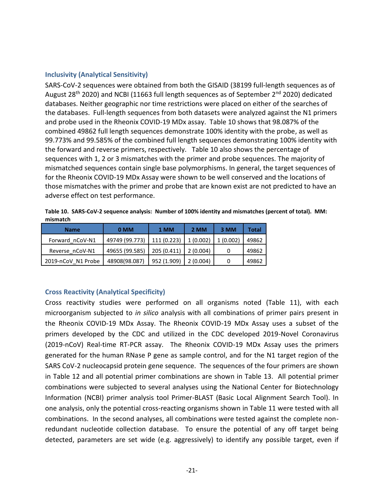#### **Inclusivity (Analytical Sensitivity)**

SARS-CoV-2 sequences were obtained from both the GISAID (38199 full-length sequences as of August 28<sup>th</sup> 2020) and NCBI (11663 full length sequences as of September 2<sup>nd</sup> 2020) dedicated databases. Neither geographic nor time restrictions were placed on either of the searches of the databases. Full-length sequences from both datasets were analyzed against the N1 primers and probe used in the Rheonix COVID-19 MDx assay. Table 10 shows that 98.087% of the combined 49862 full length sequences demonstrate 100% identity with the probe, as well as 99.773% and 99.585% of the combined full length sequences demonstrating 100% identity with the forward and reverse primers, respectively. Table 10 also shows the percentage of sequences with 1, 2 or 3 mismatches with the primer and probe sequences. The majority of mismatched sequences contain single base polymorphisms. In general, the target sequences of for the Rheonix COVID-19 MDx Assay were shown to be well conserved and the locations of those mismatches with the primer and probe that are known exist are not predicted to have an adverse effect on test performance.

**Table 10. SARS-CoV-2 sequence analysis: Number of 100% identity and mismatches (percent of total). MM: mismatch**

| <b>Name</b>        | 0 MM           | 1 MM        | 2 MM     | 3 MM     | Total |
|--------------------|----------------|-------------|----------|----------|-------|
| Forward nCoV-N1    | 49749 (99.773) | 111 (0.223) | 1(0.002) | 1(0.002) | 49862 |
| Reverse nCoV-N1    | 49655 (99.585) | 205(0.411)  | 2(0.004) |          | 49862 |
| 2019-nCoV N1 Probe | 48908(98.087)  | 952 (1.909) | 2(0.004) | 0        | 49862 |

#### <span id="page-21-0"></span>**Cross Reactivity (Analytical Specificity)**

Cross reactivity studies were performed on all organisms noted (Table 11), with each microorganism subjected to *in silico* analysis with all combinations of primer pairs present in the Rheonix COVID-19 MDx Assay. The Rheonix COVID-19 MDx Assay uses a subset of the primers developed by the CDC and utilized in the CDC developed 2019-Novel Coronavirus (2019-nCoV) Real-time RT-PCR assay. The Rheonix COVID-19 MDx Assay uses the primers generated for the human RNase P gene as sample control, and for the N1 target region of the SARS CoV-2 nucleocapsid protein gene sequence. The sequences of the four primers are shown in Table 12 and all potential primer combinations are shown in Table 13. All potential primer combinations were subjected to several analyses using the National Center for Biotechnology Information (NCBI) primer analysis tool Primer-BLAST (Basic Local Alignment Search Tool). In one analysis, only the potential cross-reacting organisms shown in Table 11 were tested with all combinations. In the second analyses, all combinations were tested against the complete nonredundant nucleotide collection database. To ensure the potential of any off target being detected, parameters are set wide (e.g. aggressively) to identify any possible target, even if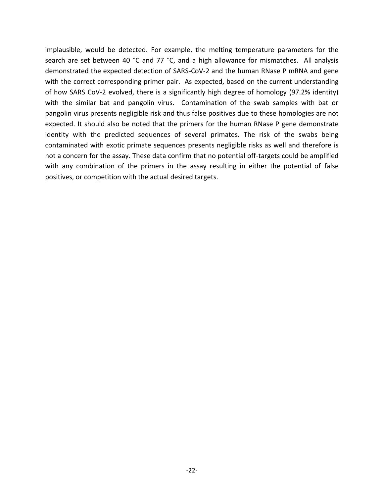implausible, would be detected. For example, the melting temperature parameters for the search are set between 40 °C and 77 °C, and a high allowance for mismatches. All analysis demonstrated the expected detection of SARS-CoV-2 and the human RNase P mRNA and gene with the correct corresponding primer pair. As expected, based on the current understanding of how SARS CoV-2 evolved, there is a significantly high degree of homology (97.2% identity) with the similar bat and pangolin virus. Contamination of the swab samples with bat or pangolin virus presents negligible risk and thus false positives due to these homologies are not expected. It should also be noted that the primers for the human RNase P gene demonstrate identity with the predicted sequences of several primates. The risk of the swabs being contaminated with exotic primate sequences presents negligible risks as well and therefore is not a concern for the assay. These data confirm that no potential off-targets could be amplified with any combination of the primers in the assay resulting in either the potential of false positives, or competition with the actual desired targets.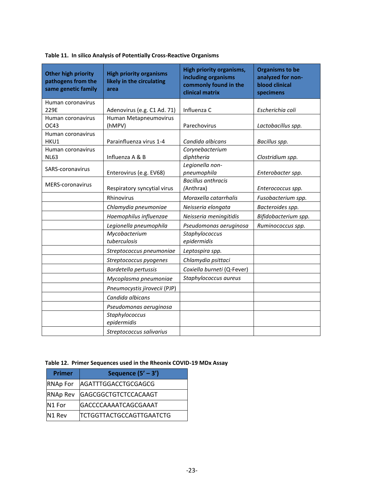| <b>Other high priority</b><br>pathogens from the<br>same genetic family | <b>High priority organisms</b><br>likely in the circulating<br>area | High priority organisms,<br>including organisms<br>commonly found in the<br>clinical matrix | <b>Organisms to be</b><br>analyzed for non-<br><b>blood clinical</b><br>specimens |
|-------------------------------------------------------------------------|---------------------------------------------------------------------|---------------------------------------------------------------------------------------------|-----------------------------------------------------------------------------------|
| Human coronavirus                                                       |                                                                     |                                                                                             |                                                                                   |
| 229E                                                                    | Adenovirus (e.g. C1 Ad. 71)                                         | Influenza C                                                                                 | Escherichia coli                                                                  |
| Human coronavirus                                                       | Human Metapneumovirus                                               |                                                                                             |                                                                                   |
| OC43                                                                    | (hMPV)                                                              | Parechovirus                                                                                | Lactobacillus spp.                                                                |
| Human coronavirus                                                       |                                                                     |                                                                                             |                                                                                   |
| HKU1                                                                    | Parainfluenza virus 1-4                                             | Candida albicans                                                                            | Bacillus spp.                                                                     |
| Human coronavirus<br><b>NL63</b>                                        | Influenza A & B                                                     | Corynebacterium                                                                             |                                                                                   |
|                                                                         |                                                                     | diphtheria<br>Legionella non-                                                               | Clostridium spp.                                                                  |
| SARS-coronavirus                                                        | Enterovirus (e.g. EV68)                                             | pneumophila                                                                                 | Enterobacter spp.                                                                 |
|                                                                         |                                                                     | <b>Bacillus anthracis</b>                                                                   |                                                                                   |
| <b>MERS-coronavirus</b>                                                 | Respiratory syncytial virus                                         | (Anthrax)                                                                                   | Enterococcus spp.                                                                 |
|                                                                         | Rhinovirus                                                          | Moraxella catarrhalis                                                                       | Fusobacterium spp.                                                                |
|                                                                         | Chlamydia pneumoniae                                                | Neisseria elongata                                                                          | Bacteroides spp.                                                                  |
|                                                                         | Haemophilus influenzae                                              | Neisseria meningitidis                                                                      | Bifidobacterium spp.                                                              |
|                                                                         | Legionella pneumophila                                              | Pseudomonas aeruginosa                                                                      | Ruminococcus spp.                                                                 |
|                                                                         | Mycobacterium                                                       | Staphylococcus                                                                              |                                                                                   |
|                                                                         | tuberculosis                                                        | epidermidis                                                                                 |                                                                                   |
|                                                                         | Streptococcus pneumoniae                                            | Leptospira spp.                                                                             |                                                                                   |
|                                                                         | Streptococcus pyogenes                                              | Chlamydia psittaci                                                                          |                                                                                   |
|                                                                         | Bordetella pertussis                                                | Coxiella burneti (Q-Fever)                                                                  |                                                                                   |
|                                                                         | Mycoplasma pneumoniae                                               | Staphylococcus aureus                                                                       |                                                                                   |
|                                                                         | Pneumocystis jirovecii (PJP)                                        |                                                                                             |                                                                                   |
|                                                                         | Candida albicans                                                    |                                                                                             |                                                                                   |
|                                                                         | Pseudomonas aeruginosa                                              |                                                                                             |                                                                                   |
|                                                                         | Staphylococcus<br>epidermidis                                       |                                                                                             |                                                                                   |
|                                                                         | Streptococcus salivarius                                            |                                                                                             |                                                                                   |

#### **Table 11. In silico Analysis of Potentially Cross-Reactive Organisms**

#### **Table 12. Primer Sequences used in the Rheonix COVID-19 MDx Assay**

| <b>Primer</b>   | Sequence $(5' - 3')$            |
|-----------------|---------------------------------|
| <b>RNAp For</b> | <b>AGATTTGGACCTGCGAGCG</b>      |
| <b>RNAp Rev</b> | <b>GAGCGGCTGTCTCCACAAGT</b>     |
| N1 For          | <b>GACCCCAAAATCAGCGAAAT</b>     |
| N1 Rev          | <b>TCTGGTTACTGCCAGTTGAATCTG</b> |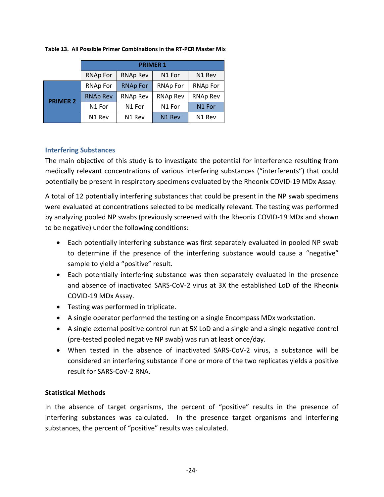|                 | <b>PRIMER 1</b>    |                    |                    |                    |  |
|-----------------|--------------------|--------------------|--------------------|--------------------|--|
|                 | <b>RNAp For</b>    | <b>RNAp Rev</b>    | N <sub>1</sub> For | N <sub>1</sub> Rev |  |
|                 | <b>RNAp For</b>    | <b>RNAp For</b>    | <b>RNAp For</b>    | <b>RNAp For</b>    |  |
| <b>PRIMER 2</b> | <b>RNAp Rev</b>    | <b>RNAp Rev</b>    | <b>RNAp Rev</b>    | <b>RNAp Rev</b>    |  |
|                 | N1 For             | N1 For             | N1 For             | N1 For             |  |
|                 | N <sub>1</sub> Rev | N <sub>1</sub> Rev | N <sub>1</sub> Rev | N <sub>1</sub> Rev |  |

**Table 13. All Possible Primer Combinations in the RT-PCR Master Mix**

#### <span id="page-24-0"></span>**Interfering Substances**

The main objective of this study is to investigate the potential for interference resulting from medically relevant concentrations of various interfering substances ("interferents") that could potentially be present in respiratory specimens evaluated by the Rheonix COVID-19 MDx Assay.

A total of 12 potentially interfering substances that could be present in the NP swab specimens were evaluated at concentrations selected to be medically relevant. The testing was performed by analyzing pooled NP swabs (previously screened with the Rheonix COVID-19 MDx and shown to be negative) under the following conditions:

- Each potentially interfering substance was first separately evaluated in pooled NP swab to determine if the presence of the interfering substance would cause a "negative" sample to yield a "positive" result.
- Each potentially interfering substance was then separately evaluated in the presence and absence of inactivated SARS-CoV-2 virus at 3X the established LoD of the Rheonix COVID-19 MDx Assay.
- Testing was performed in triplicate.
- A single operator performed the testing on a single Encompass MDx workstation.
- A single external positive control run at 5X LoD and a single and a single negative control (pre-tested pooled negative NP swab) was run at least once/day.
- When tested in the absence of inactivated SARS-CoV-2 virus, a substance will be considered an interfering substance if one or more of the two replicates yields a positive result for SARS-CoV-2 RNA.

#### **Statistical Methods**

In the absence of target organisms, the percent of "positive" results in the presence of interfering substances was calculated. In the presence target organisms and interfering substances, the percent of "positive" results was calculated.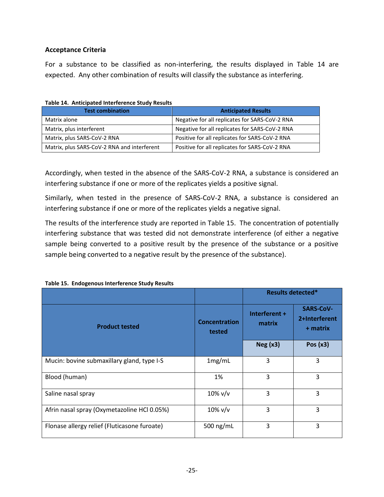#### **Acceptance Criteria**

For a substance to be classified as non-interfering, the results displayed in Table 14 are expected. Any other combination of results will classify the substance as interfering.

| <b>Test combination</b>                     | <b>Anticipated Results</b>                     |
|---------------------------------------------|------------------------------------------------|
| Matrix alone                                | Negative for all replicates for SARS-CoV-2 RNA |
| Matrix, plus interferent                    | Negative for all replicates for SARS-CoV-2 RNA |
| Matrix, plus SARS-CoV-2 RNA                 | Positive for all replicates for SARS-CoV-2 RNA |
| Matrix, plus SARS-CoV-2 RNA and interferent | Positive for all replicates for SARS-CoV-2 RNA |

**Table 14. Anticipated Interference Study Results**

Accordingly, when tested in the absence of the SARS-CoV-2 RNA, a substance is considered an interfering substance if one or more of the replicates yields a positive signal.

Similarly, when tested in the presence of SARS-CoV-2 RNA, a substance is considered an interfering substance if one or more of the replicates yields a negative signal.

The results of the interference study are reported in Table 15. The concentration of potentially interfering substance that was tested did not demonstrate interference (of either a negative sample being converted to a positive result by the presence of the substance or a positive sample being converted to a negative result by the presence of the substance).

|                                              |                                | <b>Results detected*</b> |                                               |
|----------------------------------------------|--------------------------------|--------------------------|-----------------------------------------------|
| <b>Product tested</b>                        | <b>Concentration</b><br>tested | Interferent +<br>matrix  | <b>SARS-CoV-</b><br>2+Interferent<br>+ matrix |
|                                              |                                | Neg(x3)                  | Pos $(x3)$                                    |
| Mucin: bovine submaxillary gland, type I-S   | 1mg/mL                         | 3                        | 3                                             |
| Blood (human)                                | 1%                             | 3                        | 3                                             |
| Saline nasal spray                           | $10\%$ v/v                     | 3                        | 3                                             |
| Afrin nasal spray (Oxymetazoline HCl 0.05%)  | $10\%$ v/v                     | 3                        | 3                                             |
| Flonase allergy relief (Fluticasone furoate) | 500 ng/mL                      | 3                        | 3                                             |

#### **Table 15. Endogenous Interference Study Results**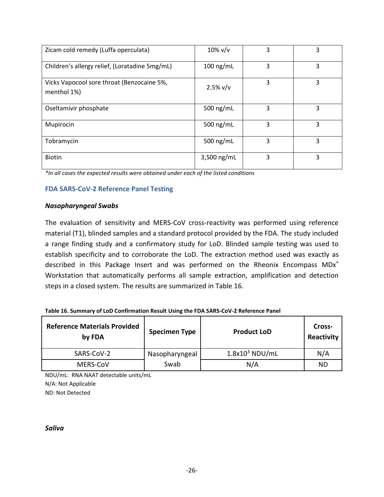| Zicam cold remedy (Luffa operculata)                      | $10\%$ v/v    | 3 | 3 |
|-----------------------------------------------------------|---------------|---|---|
| Children's allergy relief, (Loratadine 5mg/mL)            | $100$ ng/mL   | 3 | 3 |
| Vicks Vapocool sore throat (Benzocaine 5%,<br>menthol 1%) | 2.5% v/v      | 3 | 3 |
| Oseltamivir phosphate                                     | 500 ng/mL     | 3 | 3 |
| Mupirocin                                                 | 500 ng/mL     | 3 | 3 |
| Tobramycin                                                | 500 ng/mL     | 3 | 3 |
| <b>Biotin</b>                                             | $3,500$ ng/mL | 3 | 3 |

*\*In all cases the expected results were obtained under each of the listed conditions*

#### **FDA SARS-CoV-2 Reference Panel Testing**

#### *Nasopharyngeal Swabs*

The evaluation of sensitivity and MERS-CoV cross-reactivity was performed using reference material (T1), blinded samples and a standard protocol provided by the FDA. The study included a range finding study and a confirmatory study for LoD. Blinded sample testing was used to establish specificity and to corroborate the LoD. The extraction method used was exactly as described in this Package Insert and was performed on the Rheonix Encompass MDx® Workstation that automatically performs all sample extraction, amplification and detection steps in a closed system. The results are summarized in Table 16.

| Table 16. Summary of LoD Confirmation Result Using the FDA SARS-CoV-2 Reference Panel |  |
|---------------------------------------------------------------------------------------|--|
|---------------------------------------------------------------------------------------|--|

| <b>Reference Materials Provided</b><br>by FDA | <b>Specimen Type</b> |                  | Cross-<br>Reactivity |
|-----------------------------------------------|----------------------|------------------|----------------------|
| SARS-CoV-2                                    | Nasopharyngeal       | $1.8x103$ NDU/mL | N/A                  |
| MERS-COV                                      | Swab                 | N/A              | <b>ND</b>            |

NDU/mL: RNA NAAT detectable units/mL N/A: Not Applicable

ND: Not Detected

*Saliva*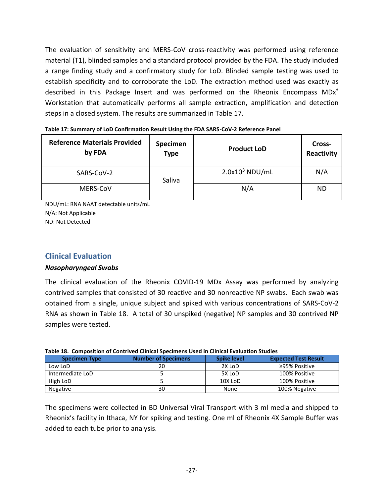The evaluation of sensitivity and MERS-CoV cross-reactivity was performed using reference material (T1), blinded samples and a standard protocol provided by the FDA. The study included a range finding study and a confirmatory study for LoD. Blinded sample testing was used to establish specificity and to corroborate the LoD. The extraction method used was exactly as described in this Package Insert and was performed on the Rheonix Encompass MDx<sup>®</sup> Workstation that automatically performs all sample extraction, amplification and detection steps in a closed system. The results are summarized in Table 17.

| <b>Reference Materials Provided</b><br>by FDA | Specimen<br><b>Type</b> | <b>Product LoD</b> | Cross-<br>Reactivity |
|-----------------------------------------------|-------------------------|--------------------|----------------------|
| SARS-CoV-2                                    | Saliva                  | $2.0x103$ NDU/mL   | N/A                  |
| MERS-CoV                                      |                         | N/A                | <b>ND</b>            |

NDU/mL: RNA NAAT detectable units/mL N/A: Not Applicable ND: Not Detected

## <span id="page-27-0"></span>**Clinical Evaluation**

#### *Nasopharyngeal Swabs*

The clinical evaluation of the Rheonix COVID-19 MDx Assay was performed by analyzing contrived samples that consisted of 30 reactive and 30 nonreactive NP swabs. Each swab was obtained from a single, unique subject and spiked with various concentrations of SARS-CoV-2 RNA as shown in Table 18. A total of 30 unspiked (negative) NP samples and 30 contrived NP samples were tested.

| <b>Specimen Type</b> | <b>Number of Specimens</b> | <b>Spike level</b> | <b>Expected Test Result</b> |
|----------------------|----------------------------|--------------------|-----------------------------|
| Low LoD              | 20                         | 2X LoD             | ≥95% Positive               |
| Intermediate LoD     |                            | 5X LoD             | 100% Positive               |
| High LoD             |                            | 10X LoD            | 100% Positive               |
| Negative             | 30                         | None               | 100% Negative               |

| Table 18. Composition of Contrived Clinical Specimens Used in Clinical Evaluation Studies |
|-------------------------------------------------------------------------------------------|
|-------------------------------------------------------------------------------------------|

The specimens were collected in BD Universal Viral Transport with 3 ml media and shipped to Rheonix's facility in Ithaca, NY for spiking and testing. One ml of Rheonix 4X Sample Buffer was added to each tube prior to analysis.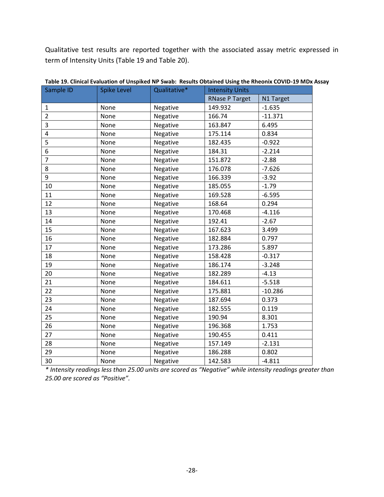Qualitative test results are reported together with the associated assay metric expressed in term of Intensity Units (Table 19 and Table 20).

| Sample ID      | <b>Spike Level</b> | Qualitative* | <b>Intensity Units</b> |           |
|----------------|--------------------|--------------|------------------------|-----------|
|                |                    |              | <b>RNase P Target</b>  | N1 Target |
| $\mathbf{1}$   | None               | Negative     | 149.932                | $-1.635$  |
| $\overline{2}$ | None               | Negative     | 166.74                 | $-11.371$ |
| 3              | None               | Negative     | 163.847                | 6.495     |
| 4              | None               | Negative     | 175.114                | 0.834     |
| 5              | None               | Negative     | 182.435                | $-0.922$  |
| 6              | None               | Negative     | 184.31                 | $-2.214$  |
| $\overline{7}$ | None               | Negative     | 151.872                | $-2.88$   |
| 8              | None               | Negative     | 176.078                | $-7.626$  |
| 9              | None               | Negative     | 166.339                | $-3.92$   |
| 10             | None               | Negative     | 185.055                | $-1.79$   |
| 11             | None               | Negative     | 169.528                | $-6.595$  |
| 12             | None               | Negative     | 168.64                 | 0.294     |
| 13             | None               | Negative     | 170.468                | $-4.116$  |
| 14             | None               | Negative     | 192.41                 | $-2.67$   |
| 15             | None               | Negative     | 167.623                | 3.499     |
| 16             | None               | Negative     | 182.884                | 0.797     |
| 17             | None               | Negative     | 173.286                | 5.897     |
| 18             | None               | Negative     | 158.428                | $-0.317$  |
| 19             | None               | Negative     | 186.174                | $-3.248$  |
| 20             | None               | Negative     | 182.289                | $-4.13$   |
| 21             | None               | Negative     | 184.611                | $-5.518$  |
| 22             | None               | Negative     | 175.881                | $-10.286$ |
| 23             | None               | Negative     | 187.694                | 0.373     |
| 24             | None               | Negative     | 182.555                | 0.119     |
| 25             | None               | Negative     | 190.94                 | 8.301     |
| 26             | None               | Negative     | 196.368                | 1.753     |
| 27             | None               | Negative     | 190.455                | 0.411     |
| 28             | None               | Negative     | 157.149                | $-2.131$  |
| 29             | None               | Negative     | 186.288                | 0.802     |
| 30             | None               | Negative     | 142.583                | $-4.811$  |

**Table 19. Clinical Evaluation of Unspiked NP Swab: Results Obtained Using the Rheonix COVID-19 MDx Assay**

*\* Intensity readings less than 25.00 units are scored as "Negative" while intensity readings greater than .00 are scored as "Positive".*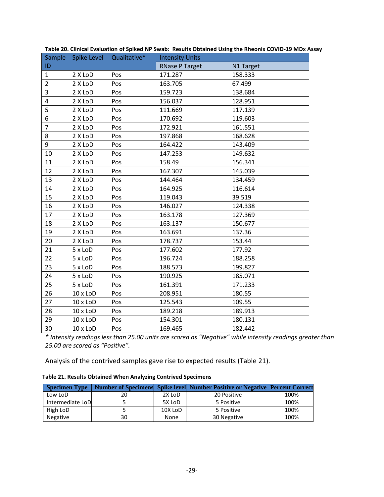| Sample         | Spike Level     | Qualitative* | <b>Intensity Units</b> |           |
|----------------|-----------------|--------------|------------------------|-----------|
| ID             |                 |              | <b>RNase P Target</b>  | N1 Target |
| $\mathbf{1}$   | 2 X LoD         | Pos          | 171.287                | 158.333   |
| $\overline{2}$ | 2 X LoD         | Pos          | 163.705                | 67.499    |
| 3              | 2 X LoD         | Pos          | 159.723                | 138.684   |
| 4              | 2 X LoD         | Pos          | 156.037                | 128.951   |
| 5              | 2 X LoD         | Pos          | 111.669                | 117.139   |
| 6              | 2 X LoD         | Pos          | 170.692                | 119.603   |
| $\overline{7}$ | 2 X LoD         | Pos          | 172.921                | 161.551   |
| 8              | 2 X LoD         | Pos          | 197.868                | 168.628   |
| 9              | 2 X LoD         | Pos          | 164.422                | 143.409   |
| 10             | 2 X LoD         | Pos          | 147.253                | 149.632   |
| 11             | 2 X LoD         | Pos          | 158.49                 | 156.341   |
| 12             | 2 X LoD         | Pos          | 167.307                | 145.039   |
| 13             | 2 X LoD         | Pos          | 144.464                | 134.459   |
| 14             | 2 X LoD         | Pos          | 164.925                | 116.614   |
| 15             | 2 X LoD         | Pos          | 119.043                | 39.519    |
| 16             | 2 X LoD         | Pos          | 146.027                | 124.338   |
| 17             | 2 X LoD         | Pos          | 163.178                | 127.369   |
| 18             | 2 X LoD         | Pos          | 163.137                | 150.677   |
| 19             | 2 X LoD         | Pos          | 163.691                | 137.36    |
| 20             | 2 X LoD         | Pos          | 178.737                | 153.44    |
| 21             | 5 x LoD         | Pos          | 177.602                | 177.92    |
| 22             | 5 x LoD         | Pos          | 196.724                | 188.258   |
| 23             | 5 x LoD         | Pos          | 188.573                | 199.827   |
| 24             | 5 x LoD         | Pos          | 190.925                | 185.071   |
| 25             | 5 x LoD         | Pos          | 161.391                | 171.233   |
| 26             | $10 \times$ LoD | Pos          | 208.951                | 180.55    |
| 27             | $10 \times$ LoD | Pos          | 125.543                | 109.55    |
| 28             | $10 \times$ LoD | Pos          | 189.218                | 189.913   |
| 29             | $10 \times$ LoD | Pos          | 154.301                | 180.131   |
| 30             | $10 \times$ LoD | Pos          | 169.465                | 182.442   |

**Table 20. Clinical Evaluation of Spiked NP Swab: Results Obtained Using the Rheonix COVID-19 MDx Assay**

*\* Intensity readings less than 25.00 units are scored as "Negative" while intensity readings greater than .00 are scored as "Positive".*

<span id="page-29-0"></span>Analysis of the contrived samples gave rise to expected results (Table 21).

| Table 21. Results Obtained When Analyzing Contrived Specimens |  |  |
|---------------------------------------------------------------|--|--|
|---------------------------------------------------------------|--|--|

| <b>Specimen Type</b> |    |         | <b>Number of Specimens Spike level Number Positive or Negative Percent Correct</b> |      |
|----------------------|----|---------|------------------------------------------------------------------------------------|------|
| Low LoD              | 20 | 2X LoD  | 20 Positive                                                                        | 100% |
| Intermediate LoD     |    | 5X LoD  | 5 Positive                                                                         | 100% |
| High LoD             |    | 10X LoD | 5 Positive                                                                         | 100% |
| Negative             | 30 | None    | 30 Negative                                                                        | 100% |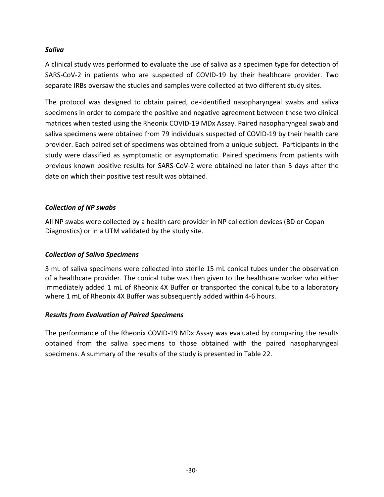#### *Saliva*

A clinical study was performed to evaluate the use of saliva as a specimen type for detection of SARS-CoV-2 in patients who are suspected of COVID-19 by their healthcare provider. Two separate IRBs oversaw the studies and samples were collected at two different study sites.

The protocol was designed to obtain paired, de-identified nasopharyngeal swabs and saliva specimens in order to compare the positive and negative agreement between these two clinical matrices when tested using the Rheonix COVID-19 MDx Assay. Paired nasopharyngeal swab and saliva specimens were obtained from 79 individuals suspected of COVID-19 by their health care provider. Each paired set of specimens was obtained from a unique subject. Participants in the study were classified as symptomatic or asymptomatic. Paired specimens from patients with previous known positive results for SARS-CoV-2 were obtained no later than 5 days after the date on which their positive test result was obtained.

#### *Collection of NP swabs*

All NP swabs were collected by a health care provider in NP collection devices (BD or Copan Diagnostics) or in a UTM validated by the study site.

#### *Collection of Saliva Specimens*

3 mL of saliva specimens were collected into sterile 15 mL conical tubes under the observation of a healthcare provider. The conical tube was then given to the healthcare worker who either immediately added 1 mL of Rheonix 4X Buffer or transported the conical tube to a laboratory where 1 mL of Rheonix 4X Buffer was subsequently added within 4-6 hours.

#### *Results from Evaluation of Paired Specimens*

The performance of the Rheonix COVID-19 MDx Assay was evaluated by comparing the results obtained from the saliva specimens to those obtained with the paired nasopharyngeal specimens. A summary of the results of the study is presented in Table 22.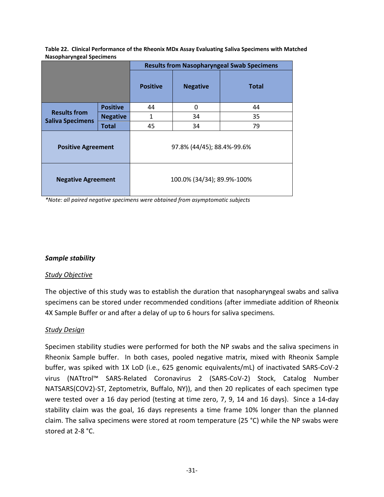|                                                |                 | <b>Results from Nasopharyngeal Swab Specimens</b> |                            |              |  |
|------------------------------------------------|-----------------|---------------------------------------------------|----------------------------|--------------|--|
|                                                |                 | <b>Positive</b>                                   | <b>Negative</b>            | <b>Total</b> |  |
| <b>Positive</b>                                |                 | 44                                                | $\Omega$                   | 44           |  |
| <b>Results from</b><br><b>Saliva Specimens</b> | <b>Negative</b> | 1                                                 | 34                         | 35           |  |
| <b>Total</b>                                   |                 | 45                                                | 34                         | 79           |  |
| <b>Positive Agreement</b>                      |                 | 97.8% (44/45); 88.4%-99.6%                        |                            |              |  |
| <b>Negative Agreement</b>                      |                 |                                                   | 100.0% (34/34); 89.9%-100% |              |  |

**Table 22. Clinical Performance of the Rheonix MDx Assay Evaluating Saliva Specimens with Matched Nasopharyngeal Specimens**

*\*Note: all paired negative specimens were obtained from asymptomatic subjects*

#### *Sample stability*

#### *Study Objective*

The objective of this study was to establish the duration that nasopharyngeal swabs and saliva specimens can be stored under recommended conditions (after immediate addition of Rheonix 4X Sample Buffer or and after a delay of up to 6 hours for saliva specimens.

#### *Study Design*

Specimen stability studies were performed for both the NP swabs and the saliva specimens in Rheonix Sample buffer. In both cases, pooled negative matrix, mixed with Rheonix Sample buffer, was spiked with 1X LoD (i.e., 625 genomic equivalents/mL) of inactivated SARS-CoV-2 virus (NATtrol™ SARS-Related Coronavirus 2 (SARS-CoV-2) Stock, Catalog Number NATSARS(COV2)-ST, Zeptometrix, Buffalo, NY)), and then 20 replicates of each specimen type were tested over a 16 day period (testing at time zero, 7, 9, 14 and 16 days). Since a 14-day stability claim was the goal, 16 days represents a time frame 10% longer than the planned claim. The saliva specimens were stored at room temperature (25 °C) while the NP swabs were stored at 2-8 °C.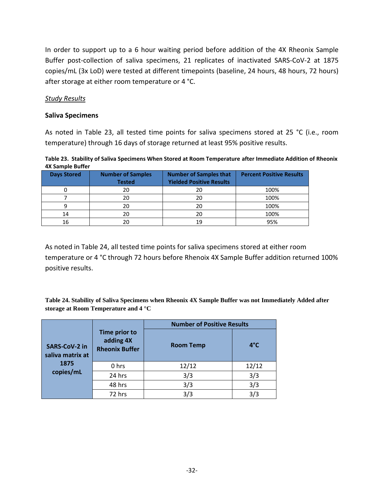In order to support up to a 6 hour waiting period before addition of the 4X Rheonix Sample Buffer post-collection of saliva specimens, 21 replicates of inactivated SARS-CoV-2 at 1875 copies/mL (3x LoD) were tested at different timepoints (baseline, 24 hours, 48 hours, 72 hours) after storage at either room temperature or 4 °C.

#### *Study Results*

#### **Saliva Specimens**

As noted in Table 23, all tested time points for saliva specimens stored at 25 °C (i.e., room temperature) through 16 days of storage returned at least 95% positive results.

**Table 23. Stability of Saliva Specimens When Stored at Room Temperature after Immediate Addition of Rheonix 4X Sample Buffer**

| <b>Days Stored</b> | <b>Number of Samples</b><br><b>Tested</b> | <b>Number of Samples that</b><br><b>Yielded Positive Results</b> | <b>Percent Positive Results</b> |
|--------------------|-------------------------------------------|------------------------------------------------------------------|---------------------------------|
|                    | 20                                        | 20                                                               | 100%                            |
|                    | 20                                        | 20                                                               | 100%                            |
|                    | 20                                        | 20                                                               | 100%                            |
| 14                 | 20                                        | 20                                                               | 100%                            |
| 16                 |                                           | 19                                                               | 95%                             |

As noted in Table 24, all tested time points for saliva specimens stored at either room temperature or 4 °C through 72 hours before Rhenoix 4X Sample Buffer addition returned 100% positive results.

**Table 24. Stability of Saliva Specimens when Rheonix 4X Sample Buffer was not Immediately Added after storage at Room Temperature and 4 °C**

|                                          |                                                     | <b>Number of Positive Results</b> |             |  |
|------------------------------------------|-----------------------------------------------------|-----------------------------------|-------------|--|
| <b>SARS-CoV-2 in</b><br>saliva matrix at | Time prior to<br>adding 4X<br><b>Rheonix Buffer</b> | <b>Room Temp</b>                  | $4^\circ$ C |  |
| 1875                                     | 0 hrs                                               | 12/12                             | 12/12       |  |
| copies/mL                                | 24 hrs                                              | 3/3                               | 3/3         |  |
|                                          | 48 hrs                                              | 3/3                               | 3/3         |  |
|                                          | 72 hrs                                              | 3/3                               | 3/3         |  |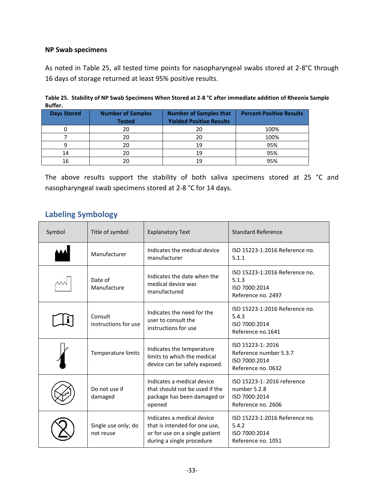#### **NP Swab specimens**

As noted in Table 25, all tested time points for nasopharyngeal swabs stored at 2-8°C through 16 days of storage returned at least 95% positive results.

| DUIICI.            |                                           |                                                                  |                                 |
|--------------------|-------------------------------------------|------------------------------------------------------------------|---------------------------------|
| <b>Days Stored</b> | <b>Number of Samples</b><br><b>Tested</b> | <b>Number of Samples that</b><br><b>Yielded Positive Results</b> | <b>Percent Positive Results</b> |
|                    | 20                                        | 20                                                               | 100%                            |
|                    | 20                                        | 20                                                               | 100%                            |
| q                  | 20                                        | 19                                                               | 95%                             |
| 14                 | 20                                        | 19                                                               | 95%                             |
| 16                 | 20                                        | 19                                                               | 95%                             |

| Buffer. | Table 25. Stability of NP Swab Specimens When Stored at 2-8 °C after immediate addition of Rheonix Sample |
|---------|-----------------------------------------------------------------------------------------------------------|
|         |                                                                                                           |

The above results support the stability of both saliva specimens stored at 25 °C and nasopharyngeal swab specimens stored at 2-8 °C for 14 days.

## **Labeling Symbology**

| Symbol | Title of symbol                  | <b>Explanatory Text</b>                                                                                                    | <b>Standard Reference</b>                                                          |
|--------|----------------------------------|----------------------------------------------------------------------------------------------------------------------------|------------------------------------------------------------------------------------|
|        | Manufacturer                     | Indicates the medical device<br>manufacturer                                                                               | ISO 15223-1:2016 Reference no.<br>5.1.1                                            |
|        | Date of<br>Manufacture           | Indicates the date when the<br>medical device was<br>manufactured                                                          | ISO 15223-1:2016 Reference no.<br>5.1.3<br>ISO 7000:2014<br>Reference no. 2497     |
|        | Consult<br>instructions for use  | Indicates the need for the<br>user to consult the<br>instructions for use                                                  | ISO 15223-1:2016 Reference no.<br>5.4.3<br>ISO 7000:2014<br>Reference no.1641      |
|        | Temperature limits               | Indicates the temperature<br>limits to which the medical<br>device can be safely exposed.                                  | ISO 15223-1: 2016<br>Reference number 5.3.7<br>ISO 7000:2014<br>Reference no. 0632 |
|        | Do not use if<br>damaged         | Indicates a medical device<br>that should not be used if the<br>package has been damaged or<br>opened                      | ISO 15223-1: 2016 reference<br>number 5.2.8<br>ISO 7000:2014<br>Reference no. 2606 |
|        | Single use only; do<br>not reuse | Indicates a medical device<br>that is intended for one use,<br>or for use on a single patient<br>during a single procedure | ISO 15223-1:2016 Reference no.<br>5.4.2<br>ISO 7000:2014<br>Reference no. 1051     |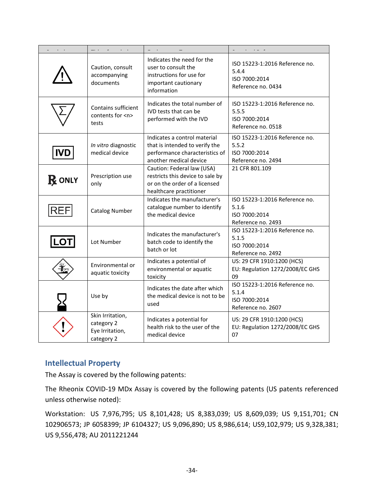|               | Caution, consult<br>accompanying<br>documents                   | Indicates the need for the<br>user to consult the<br>instructions for use for<br>important cautionary<br>information       | ISO 15223-1:2016 Reference no.<br>5.4.4<br>ISO 7000:2014<br>Reference no. 0434 |
|---------------|-----------------------------------------------------------------|----------------------------------------------------------------------------------------------------------------------------|--------------------------------------------------------------------------------|
|               | Contains sufficient<br>contents for <n><br/>tests</n>           | Indicates the total number of<br>IVD tests that can be<br>performed with the IVD                                           | ISO 15223-1:2016 Reference no.<br>5.5.5<br>ISO 7000:2014<br>Reference no. 0518 |
| <b>IVD</b>    | In vitro diagnostic<br>medical device                           | Indicates a control material<br>that is intended to verify the<br>performance characteristics of<br>another medical device | ISO 15223-1:2016 Reference no.<br>5.5.2<br>ISO 7000:2014<br>Reference no. 2494 |
| <b>R</b> ONLY | Prescription use<br>only                                        | Caution: Federal law (USA)<br>restricts this device to sale by<br>or on the order of a licensed<br>healthcare practitioner | 21 CFR 801.109                                                                 |
| <b>REF</b>    | <b>Catalog Number</b>                                           | Indicates the manufacturer's<br>catalogue number to identify<br>the medical device                                         | ISO 15223-1:2016 Reference no.<br>5.1.6<br>ISO 7000:2014<br>Reference no. 2493 |
| <b>LOT</b>    | Lot Number                                                      | Indicates the manufacturer's<br>batch code to identify the<br>batch or lot                                                 | ISO 15223-1:2016 Reference no.<br>5.1.5<br>ISO 7000:2014<br>Reference no. 2492 |
|               | Environmental or<br>aquatic toxicity                            | Indicates a potential of<br>environmental or aquatic<br>toxicity                                                           | US: 29 CFR 1910:1200 (HCS)<br>EU: Regulation 1272/2008/EC GHS<br>09            |
|               | Use by                                                          | Indicates the date after which<br>the medical device is not to be<br>used                                                  | ISO 15223-1:2016 Reference no.<br>5.1.4<br>ISO 7000:2014<br>Reference no. 2607 |
|               | Skin Irritation,<br>category 2<br>Eye Irritation,<br>category 2 | Indicates a potential for<br>health risk to the user of the<br>medical device                                              | US: 29 CFR 1910:1200 (HCS)<br>EU: Regulation 1272/2008/EC GHS<br>07            |

## <span id="page-34-0"></span>**Intellectual Property**

The Assay is covered by the following patents:

The Rheonix COVID-19 MDx Assay is covered by the following patents (US patents referenced unless otherwise noted):

Workstation: US 7,976,795; US 8,101,428; US 8,383,039; US 8,609,039; US 9,151,701; CN 102906573; JP 6058399; JP 6104327; US 9,096,890; US 8,986,614; US9,102,979; US 9,328,381; US 9,556,478; AU 2011221244